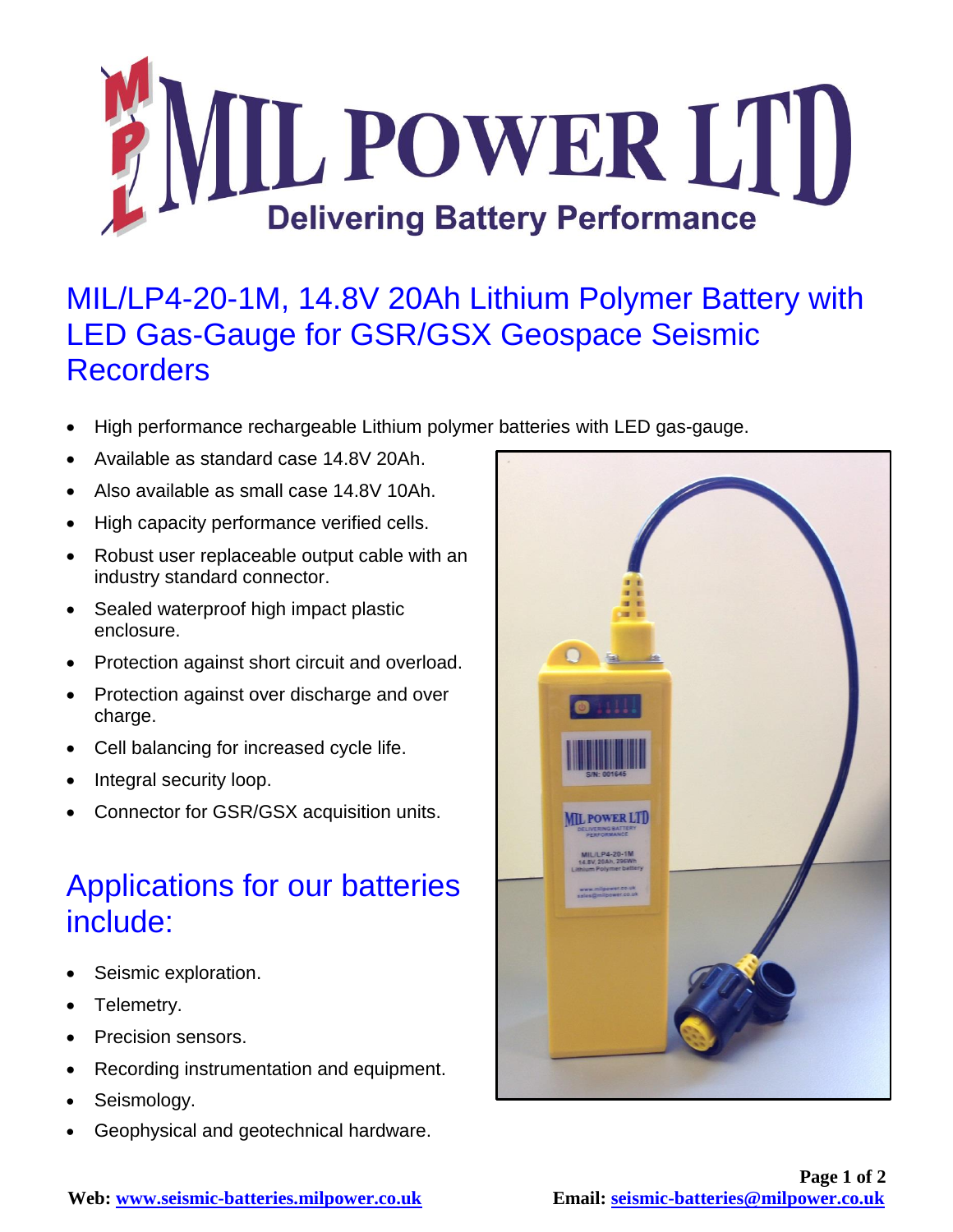

## MIL/LP4-20-1M, 14.8V 20Ah Lithium Polymer Battery with LED Gas-Gauge for GSR/GSX Geospace Seismic **Recorders**

- High performance rechargeable Lithium polymer batteries with LED gas-gauge.
- Available as standard case 14.8V 20Ah.
- Also available as small case 14.8V 10Ah.
- High capacity performance verified cells.
- Robust user replaceable output cable with an industry standard connector.
- Sealed waterproof high impact plastic enclosure.
- Protection against short circuit and overload.
- Protection against over discharge and over charge.
- Cell balancing for increased cycle life.
- Integral security loop.
- Connector for GSR/GSX acquisition units.

## Applications for our batteries include:

- Seismic exploration.
- Telemetry.
- Precision sensors.
- Recording instrumentation and equipment.
- Seismology.
- Geophysical and geotechnical hardware.